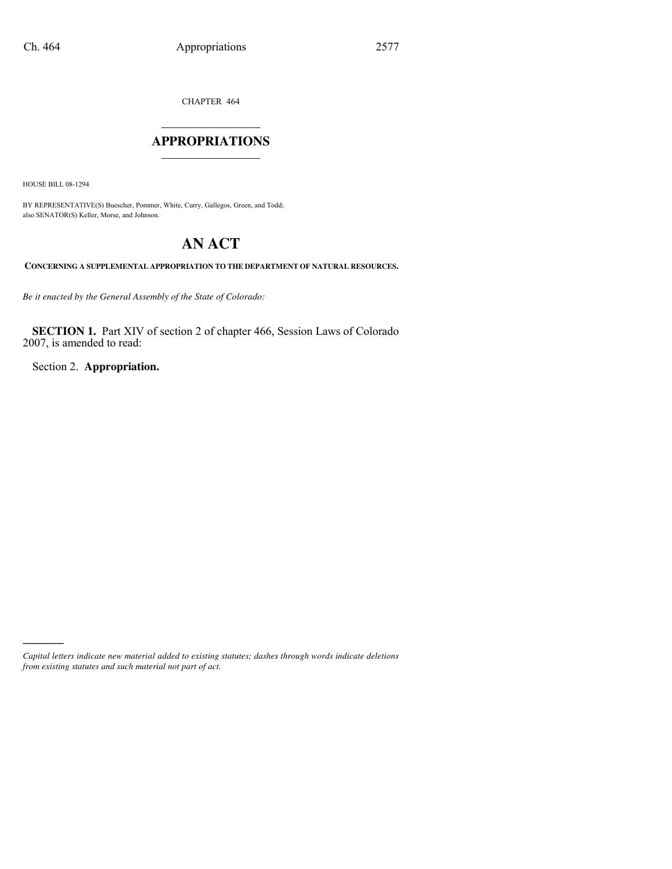CHAPTER 464

# $\mathcal{L}_\text{max}$  , where  $\mathcal{L}_\text{max}$ **APPROPRIATIONS** \_\_\_\_\_\_\_\_\_\_\_\_\_\_\_

HOUSE BILL 08-1294

)))))

BY REPRESENTATIVE(S) Buescher, Pommer, White, Curry, Gallegos, Green, and Todd; also SENATOR(S) Keller, Morse, and Johnson.

# **AN ACT**

**CONCERNING A SUPPLEMENTAL APPROPRIATION TO THE DEPARTMENT OF NATURAL RESOURCES.**

*Be it enacted by the General Assembly of the State of Colorado:*

**SECTION 1.** Part XIV of section 2 of chapter 466, Session Laws of Colorado 2007, is amended to read:

Section 2. **Appropriation.**

*Capital letters indicate new material added to existing statutes; dashes through words indicate deletions from existing statutes and such material not part of act.*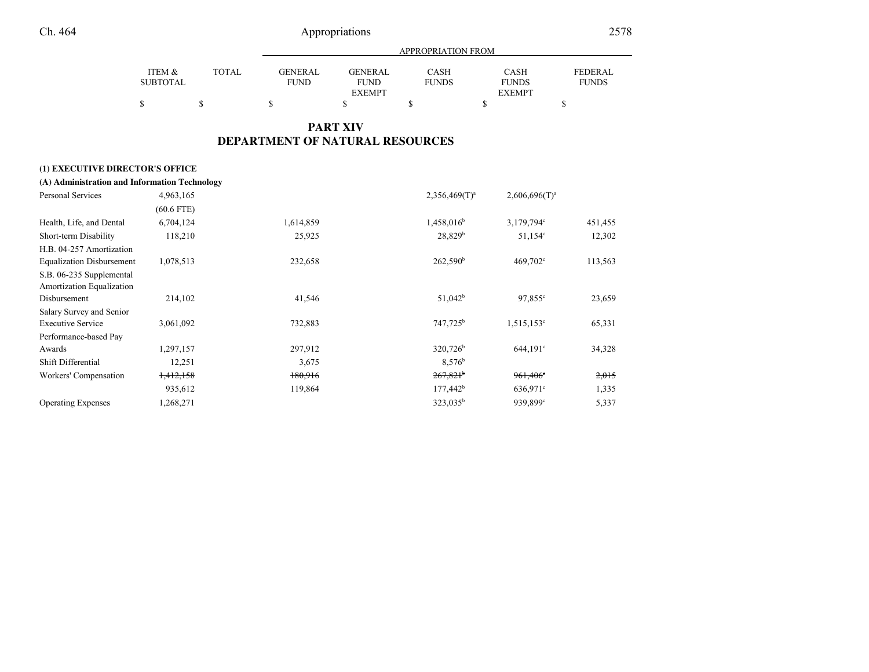|                   |       | APPROPRIATION FROM |               |              |               |                |  |  |  |
|-------------------|-------|--------------------|---------------|--------------|---------------|----------------|--|--|--|
| <b>ITEM &amp;</b> | TOTAL | GENERAL            | GENERAL       | <b>CASH</b>  | CASH          | <b>FEDERAL</b> |  |  |  |
| <b>SUBTOTAL</b>   |       | <b>FUND</b>        | <b>FUND</b>   | <b>FUNDS</b> | <b>FUNDS</b>  | <b>FUNDS</b>   |  |  |  |
|                   |       |                    | <b>EXEMPT</b> |              | <b>EXEMPT</b> |                |  |  |  |
|                   |       |                    |               |              |               |                |  |  |  |

# **PART XIVDEPARTMENT OF NATURAL RESOURCES**

# **(1) EXECUTIVE DIRECTOR'S OFFICE**

|  |  | (A) Administration and Information Technology |  |
|--|--|-----------------------------------------------|--|
|--|--|-----------------------------------------------|--|

| Personal Services                                     | 4,963,165            |           | $2,356,469(T)^a$       | $2,606,696(T)^a$     |         |
|-------------------------------------------------------|----------------------|-----------|------------------------|----------------------|---------|
|                                                       | $(60.6$ FTE)         |           |                        |                      |         |
| Health, Life, and Dental                              | 6,704,124            | 1,614,859 | 1,458,016 <sup>b</sup> | 3,179,794°           | 451,455 |
| Short-term Disability                                 | 118,210              | 25,925    | 28,829 <sup>b</sup>    | $51,154^{\circ}$     | 12,302  |
| H.B. 04-257 Amortization                              |                      |           |                        |                      |         |
| <b>Equalization Disbursement</b>                      | 1,078,513            | 232,658   | $262,590^b$            | $469,702^{\circ}$    | 113,563 |
| S.B. 06-235 Supplemental<br>Amortization Equalization |                      |           |                        |                      |         |
| Disbursement                                          | 214,102              | 41,546    | $51,042^b$             | $97.855^{\circ}$     | 23,659  |
| Salary Survey and Senior                              |                      |           |                        |                      |         |
| <b>Executive Service</b>                              | 3,061,092            | 732,883   | 747,725 <sup>b</sup>   | $1,515,153^{\circ}$  | 65,331  |
| Performance-based Pay                                 |                      |           |                        |                      |         |
| Awards                                                | 1,297,157            | 297,912   | 320,726 <sup>b</sup>   | 644.191 <sup>c</sup> | 34,328  |
| Shift Differential                                    | 12,251               | 3,675     | $8,576^{\rm b}$        |                      |         |
| Workers' Compensation                                 | <del>1,412,158</del> | 180,916   | $267,821$ <sup>b</sup> | 961,406              | 2,015   |
|                                                       | 935,612              | 119,864   | $177,442^b$            | $636.971$ °          | 1,335   |
| <b>Operating Expenses</b>                             | 1,268,271            |           | $323.035^b$            | $939,899^{\circ}$    | 5,337   |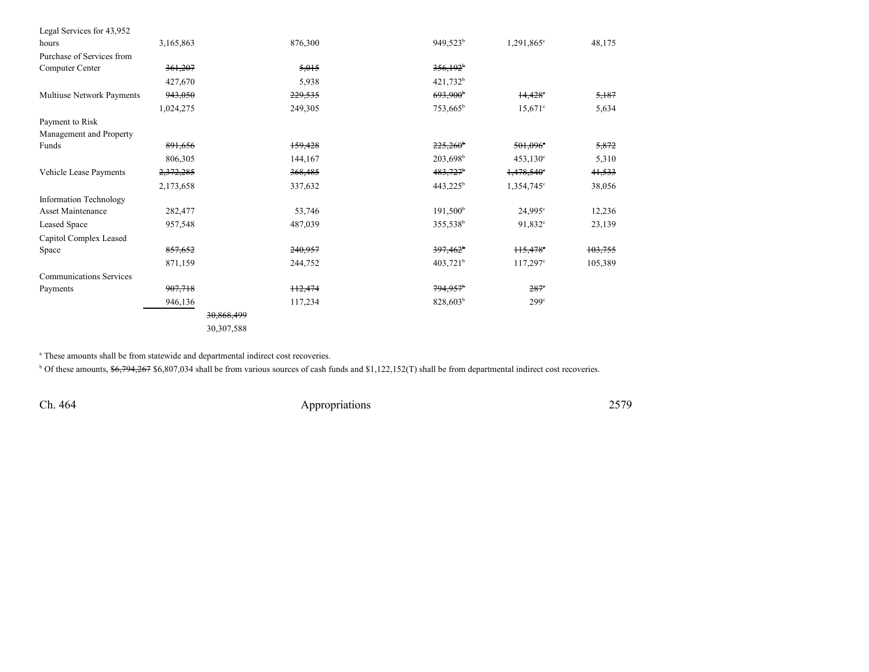| Legal Services for 43,952      |           |                       |         |                        |                       |         |
|--------------------------------|-----------|-----------------------|---------|------------------------|-----------------------|---------|
| hours                          | 3,165,863 |                       | 876,300 | $949,523^b$            | 1,291,865°            | 48,175  |
| Purchase of Services from      |           |                       |         |                        |                       |         |
| Computer Center                | 361,207   |                       | 5,015   | $356,192$ <sup>b</sup> |                       |         |
|                                | 427,670   |                       | 5,938   | $421,732^b$            |                       |         |
| Multiuse Network Payments      | 943,050   |                       | 229,535 | $693,900$ <sup>b</sup> | $14,428$ <sup>c</sup> | 5,187   |
|                                | 1,024,275 |                       | 249,305 | 753,665 <sup>b</sup>   | $15,671$ °            | 5,634   |
| Payment to Risk                |           |                       |         |                        |                       |         |
| Management and Property        |           |                       |         |                        |                       |         |
| Funds                          | 891,656   |                       | 159,428 | $225,260$ <sup>b</sup> | $501,096^\circ$       | 5,872   |
|                                | 806,305   |                       | 144,167 | $203,698^{\rm b}$      | $453,130^{\circ}$     | 5,310   |
| Vehicle Lease Payments         | 2,372,285 |                       | 368,485 | $483,727$ <sup>b</sup> | $1,478,540$ °         | 41,533  |
|                                | 2,173,658 |                       | 337,632 | $443,225^b$            | $1,354,745$ °         | 38,056  |
| <b>Information Technology</b>  |           |                       |         |                        |                       |         |
| Asset Maintenance              | 282,477   |                       | 53,746  | $191,500^{\rm b}$      | $24,995^{\circ}$      | 12,236  |
| <b>Leased Space</b>            | 957,548   |                       | 487,039 | 355,538 <sup>b</sup>   | 91,832 <sup>c</sup>   | 23,139  |
| Capitol Complex Leased         |           |                       |         |                        |                       |         |
| Space                          | 857,652   |                       | 240,957 | $397,462^b$            | $H5,478^\circ$        | 103,755 |
|                                | 871,159   |                       | 244,752 | $403,721$ <sup>b</sup> | $117,297^{\circ}$     | 105,389 |
| <b>Communications Services</b> |           |                       |         |                        |                       |         |
| Payments                       | 907,718   |                       | ++2,474 | $794,957$ <sup>b</sup> | $287^\circ$           |         |
|                                | 946,136   |                       | 117,234 | $828,603^b$            | 299 <sup>c</sup>      |         |
|                                |           | <del>30,868,499</del> |         |                        |                       |         |
|                                |           | 30,307,588            |         |                        |                       |         |

<sup>a</sup> These amounts shall be from statewide and departmental indirect cost recoveries.

 $<sup>b</sup>$  Of these amounts,  $$6,794,267$  \$6,807,034 shall be from various sources of cash funds and \$1,122,152(T) shall be from departmental indirect cost recoveries.</sup>

Ch. 464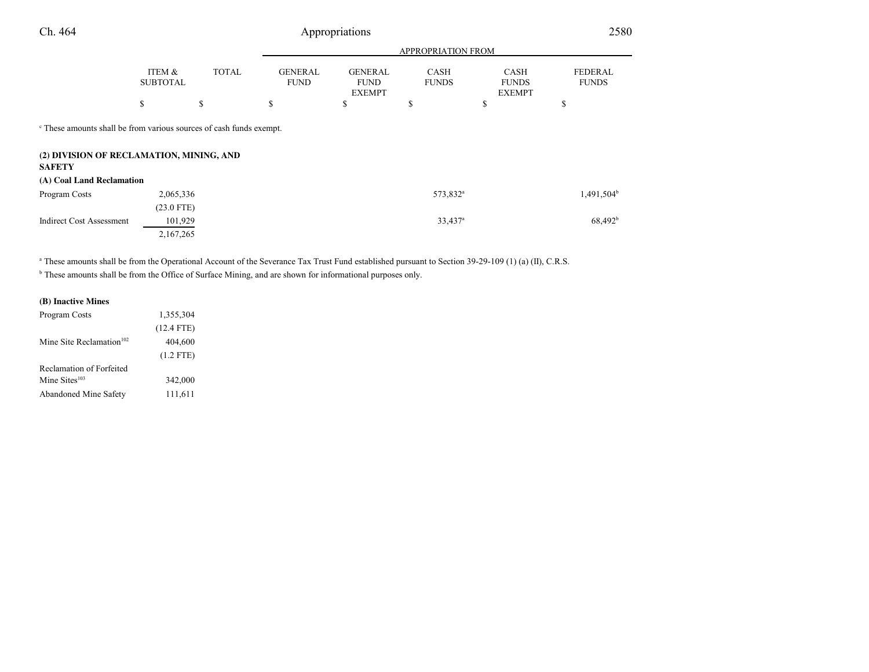| Ch. 464                                                                                                                                     |                           |              | Appropriations                | 2580                                           |                             |                                              |                                |
|---------------------------------------------------------------------------------------------------------------------------------------------|---------------------------|--------------|-------------------------------|------------------------------------------------|-----------------------------|----------------------------------------------|--------------------------------|
|                                                                                                                                             |                           |              |                               |                                                | APPROPRIATION FROM          |                                              |                                |
|                                                                                                                                             | ITEM &<br><b>SUBTOTAL</b> | <b>TOTAL</b> | <b>GENERAL</b><br><b>FUND</b> | <b>GENERAL</b><br><b>FUND</b><br><b>EXEMPT</b> | <b>CASH</b><br><b>FUNDS</b> | <b>CASH</b><br><b>FUNDS</b><br><b>EXEMPT</b> | <b>FEDERAL</b><br><b>FUNDS</b> |
|                                                                                                                                             | \$                        | \$           | S                             | \$                                             | S                           | \$                                           | \$                             |
| <sup>c</sup> These amounts shall be from various sources of cash funds exempt.<br>(2) DIVISION OF RECLAMATION, MINING, AND<br><b>SAFETY</b> |                           |              |                               |                                                |                             |                                              |                                |
| (A) Coal Land Reclamation                                                                                                                   |                           |              |                               |                                                |                             |                                              |                                |
| Program Costs                                                                                                                               | 2,065,336                 |              |                               |                                                | 573,832 <sup>a</sup>        |                                              | 1,491,504 <sup>b</sup>         |
|                                                                                                                                             | $(23.0$ FTE)              |              |                               |                                                |                             |                                              |                                |
| <b>Indirect Cost Assessment</b>                                                                                                             | 101,929                   |              |                               |                                                | 33,437 <sup>a</sup>         |                                              | 68,492 <sup>b</sup>            |
|                                                                                                                                             | 2,167,265                 |              |                               |                                                |                             |                                              |                                |

a These amounts shall be from the Operational Account of the Severance Tax Trust Fund established pursuant to Section 39-29-109 (1) (a) (II), C.R.S.

<sup>b</sup> These amounts shall be from the Office of Surface Mining, and are shown for informational purposes only.

## **(B) Inactive Mines**

| 1,355,304    |  |
|--------------|--|
| $(12.4$ FTE) |  |
| 404.600      |  |
| $(1.2$ FTE)  |  |
|              |  |
| 342,000      |  |
| 111,611      |  |
|              |  |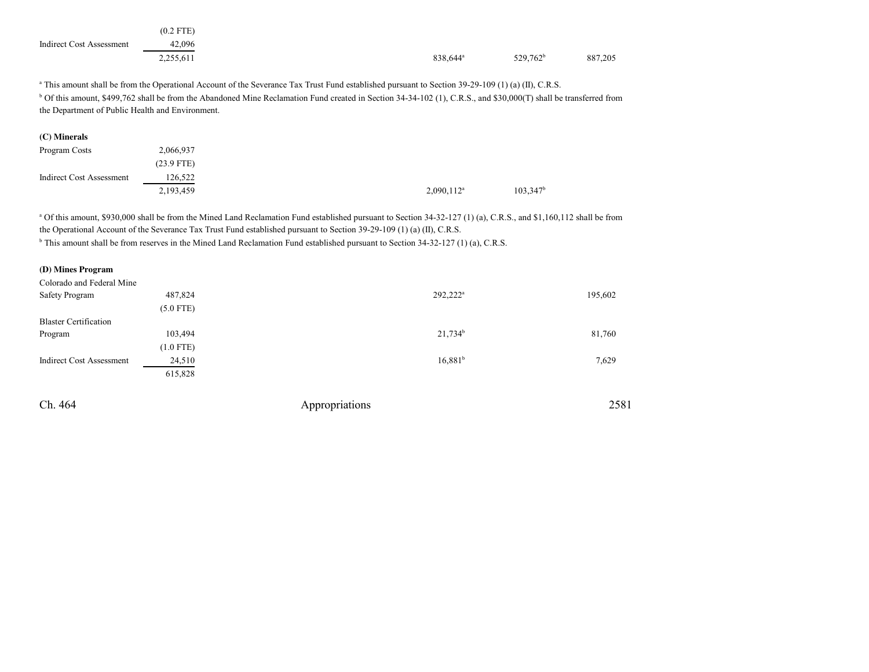|                                 | $(0.2$ FTE) |  |                      |             |         |
|---------------------------------|-------------|--|----------------------|-------------|---------|
| <b>Indirect Cost Assessment</b> | 42,096      |  |                      |             |         |
|                                 | 2,255,611   |  | 838,644 <sup>a</sup> | $529,762^b$ | 887,205 |
|                                 |             |  |                      |             |         |

<sup>a</sup> This amount shall be from the Operational Account of the Severance Tax Trust Fund established pursuant to Section 39-29-109 (1) (a) (II), C.R.S. <sup>b</sup> Of this amount, \$499,762 shall be from the Abandoned Mine Reclamation Fund created in Section 34-34-102 (1), C.R.S., and \$30,000(T) shall be transferred from the Department of Public Health and Environment.

| (C) Minerals                    |              |
|---------------------------------|--------------|
| Program Costs                   | 2,066,937    |
|                                 | $(23.9$ FTE) |
| <b>Indirect Cost Assessment</b> | 126,522      |
|                                 | 2,193,459    |

<sup>a</sup> Of this amount, \$930,000 shall be from the Mined Land Reclamation Fund established pursuant to Section 34-32-127 (1) (a), C.R.S., and \$1,160,112 shall be from the Operational Account of the Severance Tax Trust Fund established pursuant to Section 39-29-109 (1) (a) (II), C.R.S.

<sup>b</sup> This amount shall be from reserves in the Mined Land Reclamation Fund established pursuant to Section 34-32-127 (1) (a), C.R.S.

#### **(D) Mines Program**

| Colorado and Federal Mine    |             |                       |         |
|------------------------------|-------------|-----------------------|---------|
| Safety Program               | 487,824     | $292,222^a$           | 195,602 |
|                              | $(5.0$ FTE) |                       |         |
| <b>Blaster Certification</b> |             |                       |         |
| Program                      | 103,494     | $21,734$ <sup>b</sup> | 81,760  |
|                              | $(1.0$ FTE) |                       |         |
| Indirect Cost Assessment     | 24,510      | 16.881 <sup>b</sup>   | 7,629   |
|                              | 615,828     |                       |         |

Ch. 464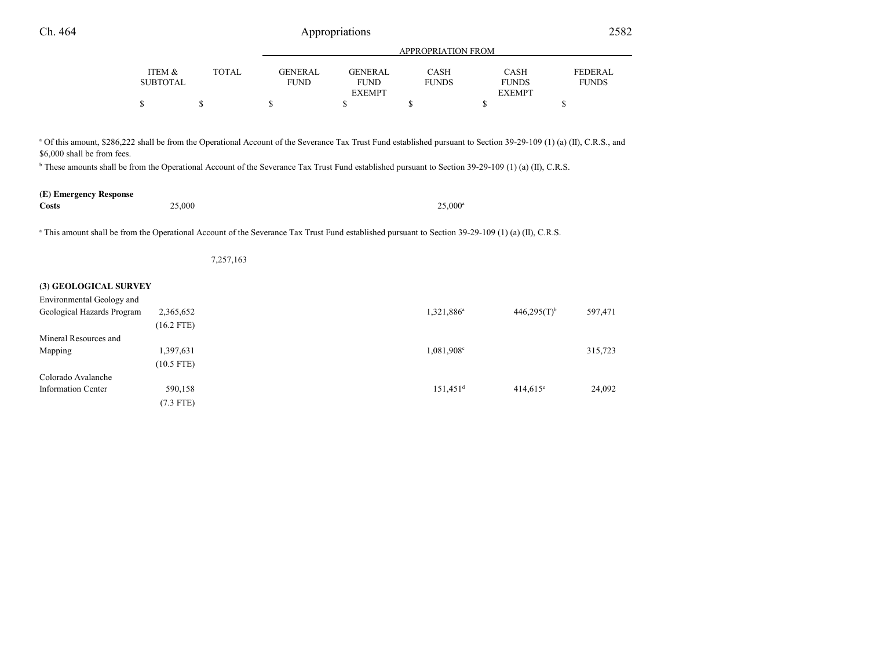| Ch. 464                                                                                                                                                                                                                                                                                                                                                                            |                           |              |                               | Appropriations                                 |                             |                                              | 2582                           |
|------------------------------------------------------------------------------------------------------------------------------------------------------------------------------------------------------------------------------------------------------------------------------------------------------------------------------------------------------------------------------------|---------------------------|--------------|-------------------------------|------------------------------------------------|-----------------------------|----------------------------------------------|--------------------------------|
|                                                                                                                                                                                                                                                                                                                                                                                    |                           |              |                               |                                                | APPROPRIATION FROM          |                                              |                                |
|                                                                                                                                                                                                                                                                                                                                                                                    | ITEM &<br><b>SUBTOTAL</b> | <b>TOTAL</b> | <b>GENERAL</b><br><b>FUND</b> | <b>GENERAL</b><br><b>FUND</b><br><b>EXEMPT</b> | <b>CASH</b><br><b>FUNDS</b> | <b>CASH</b><br><b>FUNDS</b><br><b>EXEMPT</b> | <b>FEDERAL</b><br><b>FUNDS</b> |
|                                                                                                                                                                                                                                                                                                                                                                                    | \$                        | \$           | \$                            | S                                              | \$                          | \$                                           | \$                             |
| <sup>a</sup> Of this amount, \$286,222 shall be from the Operational Account of the Severance Tax Trust Fund established pursuant to Section 39-29-109 (1) (a) (II), C.R.S., and<br>\$6,000 shall be from fees.<br><sup>b</sup> These amounts shall be from the Operational Account of the Severance Tax Trust Fund established pursuant to Section 39-29-109 (1) (a) (II), C.R.S. |                           |              |                               |                                                |                             |                                              |                                |
| (E) Emergency Response<br><b>Costs</b>                                                                                                                                                                                                                                                                                                                                             | 25,000                    |              |                               |                                                | $25,000^a$                  |                                              |                                |
| <sup>a</sup> This amount shall be from the Operational Account of the Severance Tax Trust Fund established pursuant to Section 39-29-109 (1) (a) (II), C.R.S.                                                                                                                                                                                                                      |                           |              |                               |                                                |                             |                                              |                                |
|                                                                                                                                                                                                                                                                                                                                                                                    |                           | 7,257,163    |                               |                                                |                             |                                              |                                |
| (3) GEOLOGICAL SURVEY                                                                                                                                                                                                                                                                                                                                                              |                           |              |                               |                                                |                             |                                              |                                |
| Environmental Geology and                                                                                                                                                                                                                                                                                                                                                          |                           |              |                               |                                                |                             |                                              |                                |
| Geological Hazards Program                                                                                                                                                                                                                                                                                                                                                         | 2,365,652                 |              |                               |                                                | 1,321,886 <sup>a</sup>      | $446,295(T)$ <sup>b</sup>                    | 597,471                        |
|                                                                                                                                                                                                                                                                                                                                                                                    | $(16.2$ FTE)              |              |                               |                                                |                             |                                              |                                |
| Mineral Resources and                                                                                                                                                                                                                                                                                                                                                              |                           |              |                               |                                                |                             |                                              |                                |
| Mapping                                                                                                                                                                                                                                                                                                                                                                            | 1,397,631                 |              |                               |                                                | 1,081,908 <sup>c</sup>      |                                              | 315,723                        |
|                                                                                                                                                                                                                                                                                                                                                                                    | $(10.5$ FTE)              |              |                               |                                                |                             |                                              |                                |
| Colorado Avalanche                                                                                                                                                                                                                                                                                                                                                                 |                           |              |                               |                                                |                             |                                              |                                |
| <b>Information Center</b>                                                                                                                                                                                                                                                                                                                                                          | 590,158                   |              |                               |                                                | $151,451$ <sup>d</sup>      | 414,615 <sup>e</sup>                         | 24,092                         |
|                                                                                                                                                                                                                                                                                                                                                                                    | $(7.3$ FTE)               |              |                               |                                                |                             |                                              |                                |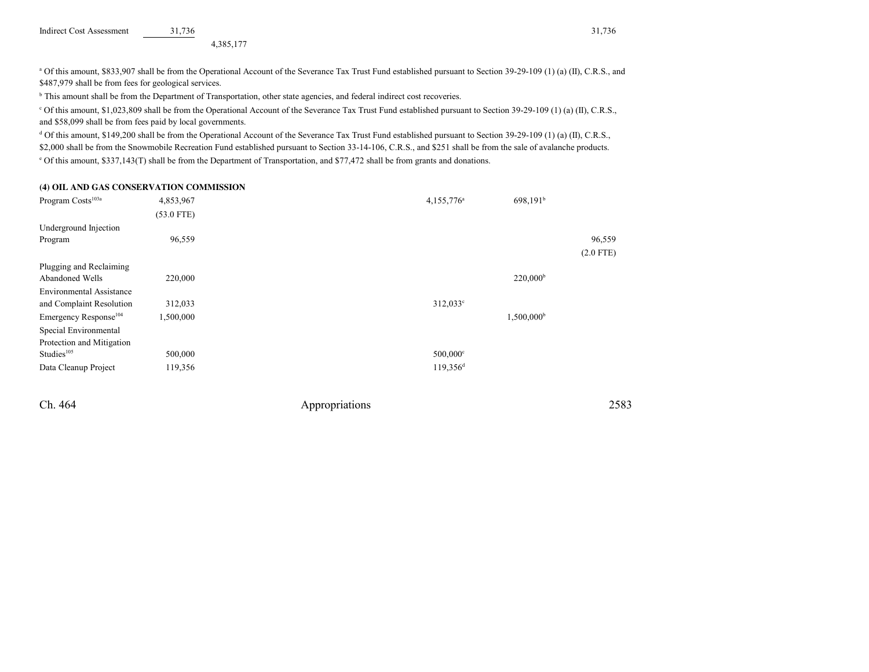Indirect Cost Assessment 31,736 31,736

4,385,177

<sup>a</sup> Of this amount, \$833,907 shall be from the Operational Account of the Severance Tax Trust Fund established pursuant to Section 39-29-109 (1) (a) (II), C.R.S., and \$487,979 shall be from fees for geological services.

<sup>b</sup> This amount shall be from the Department of Transportation, other state agencies, and federal indirect cost recoveries.

c Of this amount, \$1,023,809 shall be from the Operational Account of the Severance Tax Trust Fund established pursuant to Section 39-29-109 (1) (a) (II), C.R.S.,and \$58,099 shall be from fees paid by local governments.

d Of this amount, \$149,200 shall be from the Operational Account of the Severance Tax Trust Fund established pursuant to Section 39-29-109 (1) (a) (II), C.R.S., \$2,000 shall be from the Snowmobile Recreation Fund established pursuant to Section 33-14-106, C.R.S., and \$251 shall be from the sale of avalanche products.e Of this amount, \$337,143(T) shall be from the Department of Transportation, and \$77,472 shall be from grants and donations.

#### **(4) OIL AND GAS CONSERVATION COMMISSION**

| Program Costs <sup>103a</sup>     | 4,853,967    | 4,155,776 <sup>a</sup> | 698,191 <sup>b</sup> |             |
|-----------------------------------|--------------|------------------------|----------------------|-------------|
|                                   | $(53.0$ FTE) |                        |                      |             |
| Underground Injection             |              |                        |                      |             |
| Program                           | 96,559       |                        |                      | 96,559      |
|                                   |              |                        |                      | $(2.0$ FTE) |
| Plugging and Reclaiming           |              |                        |                      |             |
| Abandoned Wells                   | 220,000      |                        | $220,000^{\rm b}$    |             |
| <b>Environmental Assistance</b>   |              |                        |                      |             |
| and Complaint Resolution          | 312,033      | $312,033^{\circ}$      |                      |             |
| Emergency Response <sup>104</sup> | 1,500,000    |                        | $1,500,000^{\rm b}$  |             |
| Special Environmental             |              |                        |                      |             |
| Protection and Mitigation         |              |                        |                      |             |
| Studies <sup>105</sup>            | 500,000      | $500,000$ <sup>c</sup> |                      |             |
| Data Cleanup Project              | 119,356      | $119,356$ <sup>d</sup> |                      |             |
|                                   |              |                        |                      |             |

Ch. 464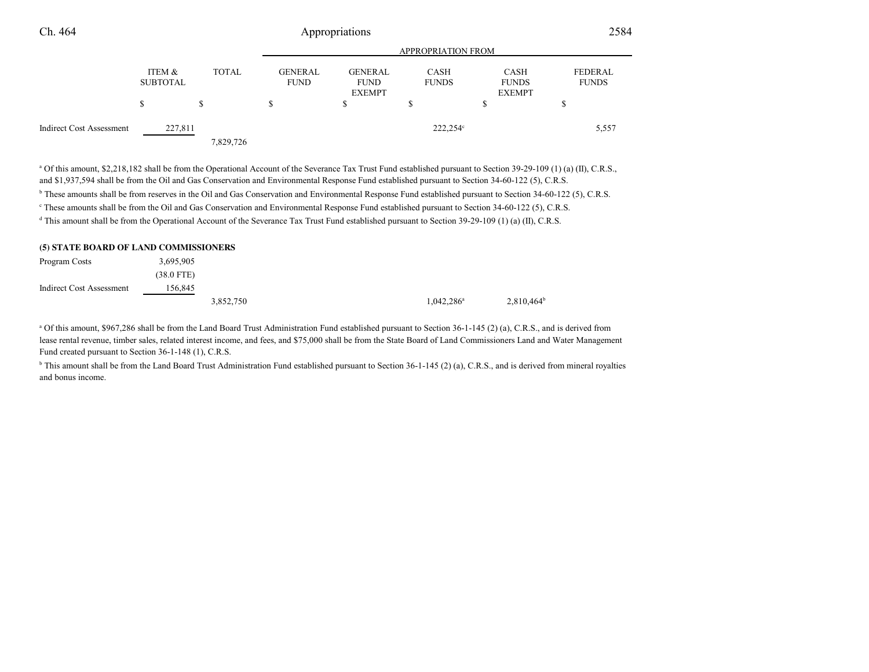| Ch. 464                  |                           |              | 2584                          |                                                |                             |                                              |                                |  |  |
|--------------------------|---------------------------|--------------|-------------------------------|------------------------------------------------|-----------------------------|----------------------------------------------|--------------------------------|--|--|
|                          |                           |              | <b>APPROPRIATION FROM</b>     |                                                |                             |                                              |                                |  |  |
|                          | ITEM &<br><b>SUBTOTAL</b> | <b>TOTAL</b> | <b>GENERAL</b><br><b>FUND</b> | <b>GENERAL</b><br><b>FUND</b><br><b>EXEMPT</b> | <b>CASH</b><br><b>FUNDS</b> | <b>CASH</b><br><b>FUNDS</b><br><b>EXEMPT</b> | <b>FEDERAL</b><br><b>FUNDS</b> |  |  |
|                          |                           | S            | ъ                             |                                                |                             |                                              | ъ                              |  |  |
| Indirect Cost Assessment | 227,811                   | 7,829,726    |                               |                                                | 222,254°                    |                                              | 5,557                          |  |  |

<sup>a</sup> Of this amount, \$2,218,182 shall be from the Operational Account of the Severance Tax Trust Fund established pursuant to Section 39-29-109 (1) (a) (II), C.R.S., and \$1,937,594 shall be from the Oil and Gas Conservation and Environmental Response Fund established pursuant to Section 34-60-122 (5), C.R.S.

<sup>b</sup> These amounts shall be from reserves in the Oil and Gas Conservation and Environmental Response Fund established pursuant to Section 34-60-122 (5), C.R.S.

<sup>e</sup> These amounts shall be from the Oil and Gas Conservation and Environmental Response Fund established pursuant to Section 34-60-122 (5), C.R.S.

<sup>d</sup> This amount shall be from the Operational Account of the Severance Tax Trust Fund established pursuant to Section 39-29-109 (1) (a) (II), C.R.S.

| (5) STATE BOARD OF LAND COMMISSIONERS |              |           |                     |                     |
|---------------------------------------|--------------|-----------|---------------------|---------------------|
| Program Costs                         | 3,695,905    |           |                     |                     |
|                                       | $(38.0$ FTE) |           |                     |                     |
| Indirect Cost Assessment              | 156.845      |           |                     |                     |
|                                       |              | 3,852,750 | $1,042,286^{\circ}$ | $2,810,464^{\rm b}$ |

<sup>a</sup> Of this amount, \$967,286 shall be from the Land Board Trust Administration Fund established pursuant to Section 36-1-145 (2) (a), C.R.S., and is derived from lease rental revenue, timber sales, related interest income, and fees, and \$75,000 shall be from the State Board of Land Commissioners Land and Water ManagementFund created pursuant to Section 36-1-148 (1), C.R.S.

<sup>b</sup> This amount shall be from the Land Board Trust Administration Fund established pursuant to Section 36-1-145 (2) (a), C.R.S., and is derived from mineral royalties and bonus income.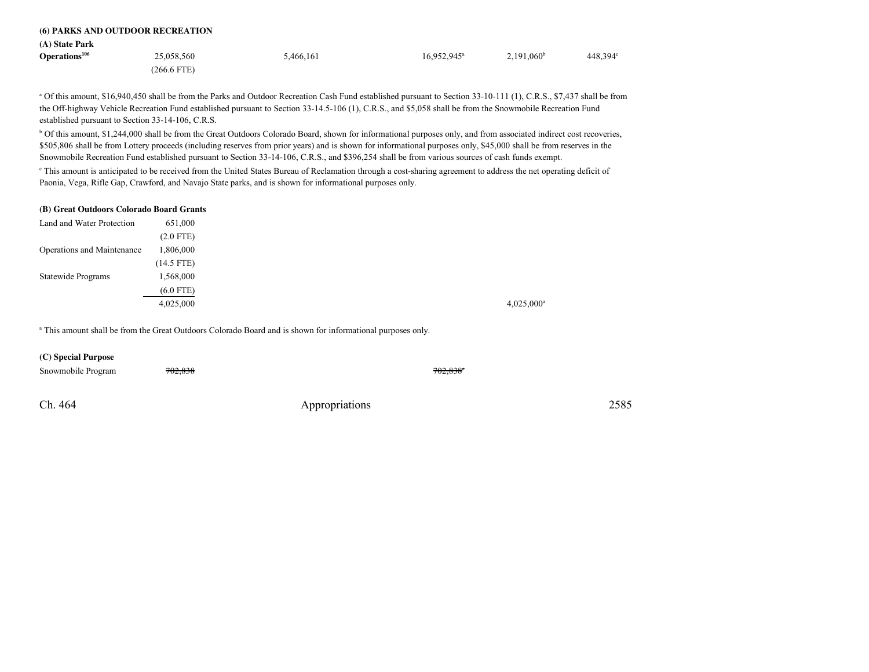|                           | <b>(6) PARKS AND OUTDOOR RECREATION</b> |           |                      |                     |          |
|---------------------------|-----------------------------------------|-----------|----------------------|---------------------|----------|
| (A) State Park            |                                         |           |                      |                     |          |
| Operations <sup>106</sup> | 25,058,560                              | 5,466,161 | $16,952,945^{\circ}$ | $2,191,060^{\rm b}$ | 448,394° |
|                           | (266.6 FTE)                             |           |                      |                     |          |

<sup>a</sup> Of this amount, \$16,940,450 shall be from the Parks and Outdoor Recreation Cash Fund established pursuant to Section 33-10-111 (1), C.R.S., \$7,437 shall be from the Off-highway Vehicle Recreation Fund established pursuant to Section 33-14.5-106 (1), C.R.S., and \$5,058 shall be from the Snowmobile Recreation Fundestablished pursuant to Section 33-14-106, C.R.S.

<sup>b</sup> Of this amount, \$1,244,000 shall be from the Great Outdoors Colorado Board, shown for informational purposes only, and from associated indirect cost recoveries, \$505,806 shall be from Lottery proceeds (including reserves from prior years) and is shown for informational purposes only, \$45,000 shall be from reserves in the Snowmobile Recreation Fund established pursuant to Section 33-14-106, C.R.S., and \$396,254 shall be from various sources of cash funds exempt.<sup>c</sup> This amount is anticipated to be received from the United States Bureau of Reclamation through a cost-sharing agreement to address the net operating deficit of Paonia, Vega, Rifle Gap, Crawford, and Navajo State parks, and is shown for informational purposes only.

#### **(B) Great Outdoors Colorado Board Grants**

| Land and Water Protection  | 651,000      |                     |
|----------------------------|--------------|---------------------|
|                            | $(2.0$ FTE)  |                     |
| Operations and Maintenance | 1,806,000    |                     |
|                            | $(14.5$ FTE) |                     |
| Statewide Programs         | 1,568,000    |                     |
|                            | $(6.0$ FTE)  |                     |
|                            | 4,025,000    | $4,025,000^{\rm a}$ |

a This amount shall be from the Great Outdoors Colorado Board and is shown for informational purposes only.

### **(C) Special Purpose**

| Snowmobile Program | 702,838 |                | $702,838$ <sup>a</sup> |      |
|--------------------|---------|----------------|------------------------|------|
|                    |         |                |                        |      |
| Ch. 464            |         | Appropriations |                        | 2585 |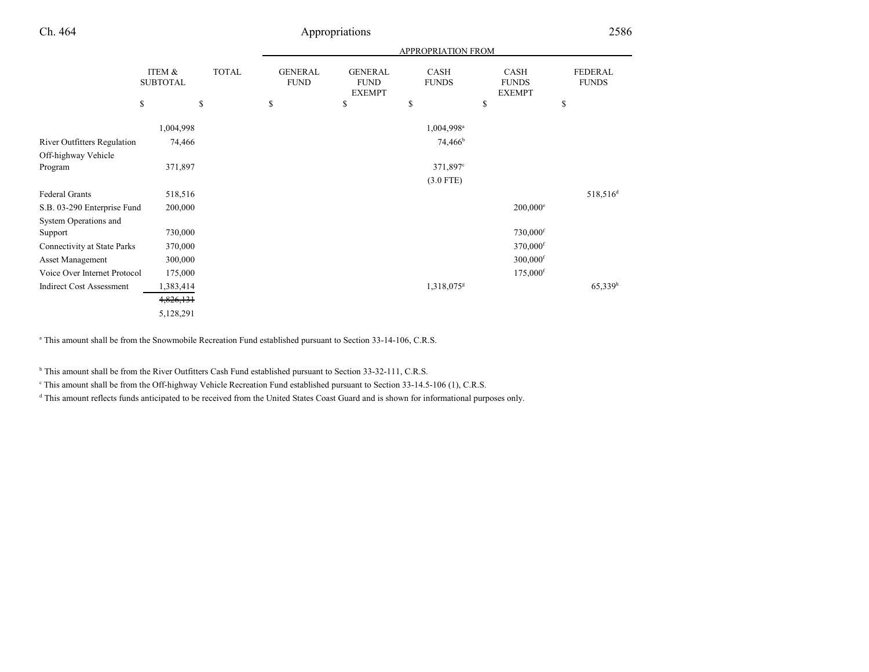|                                    |                           |              | <b>APPROPRIATION FROM</b>     |                                                |                             |                                       |                                |
|------------------------------------|---------------------------|--------------|-------------------------------|------------------------------------------------|-----------------------------|---------------------------------------|--------------------------------|
|                                    | ITEM &<br><b>SUBTOTAL</b> | <b>TOTAL</b> | <b>GENERAL</b><br><b>FUND</b> | <b>GENERAL</b><br><b>FUND</b><br><b>EXEMPT</b> | <b>CASH</b><br><b>FUNDS</b> | CASH<br><b>FUNDS</b><br><b>EXEMPT</b> | <b>FEDERAL</b><br><b>FUNDS</b> |
|                                    | \$                        | \$           | \$                            | \$                                             | \$                          | \$                                    | \$                             |
|                                    | 1,004,998                 |              |                               |                                                | $1,004,998$ <sup>a</sup>    |                                       |                                |
| River Outfitters Regulation        | 74,466                    |              |                               |                                                | $74,466^b$                  |                                       |                                |
| Off-highway Vehicle                |                           |              |                               |                                                |                             |                                       |                                |
| Program                            | 371,897                   |              |                               |                                                | 371,897 <sup>c</sup>        |                                       |                                |
|                                    |                           |              |                               |                                                | $(3.0$ FTE)                 |                                       |                                |
| <b>Federal Grants</b>              | 518,516                   |              |                               |                                                |                             |                                       | 518,516 <sup>d</sup>           |
| S.B. 03-290 Enterprise Fund        | 200,000                   |              |                               |                                                |                             | $200,000^{\circ}$                     |                                |
| System Operations and              |                           |              |                               |                                                |                             |                                       |                                |
| Support                            | 730,000                   |              |                               |                                                |                             | 730,000 <sup>f</sup>                  |                                |
| <b>Connectivity at State Parks</b> | 370,000                   |              |                               |                                                |                             | $370,000$ <sup>f</sup>                |                                |
| Asset Management                   | 300,000                   |              |                               |                                                |                             | $300,000$ <sup>f</sup>                |                                |
| Voice Over Internet Protocol       | 175,000                   |              |                               |                                                |                             | $175,000$ <sup>f</sup>                |                                |
| <b>Indirect Cost Assessment</b>    | 1,383,414                 |              |                               |                                                | $1,318,075$ <sup>g</sup>    |                                       | $65,339^h$                     |
|                                    | 4,826,131                 |              |                               |                                                |                             |                                       |                                |
|                                    | 5,128,291                 |              |                               |                                                |                             |                                       |                                |

a This amount shall be from the Snowmobile Recreation Fund established pursuant to Section 33-14-106, C.R.S.

<sup>b</sup> This amount shall be from the River Outfitters Cash Fund established pursuant to Section 33-32-111, C.R.S.

<sup>c</sup> This amount shall be from the Off-highway Vehicle Recreation Fund established pursuant to Section 33-14.5-106 (1), C.R.S.

<sup>d</sup> This amount reflects funds anticipated to be received from the United States Coast Guard and is shown for informational purposes only.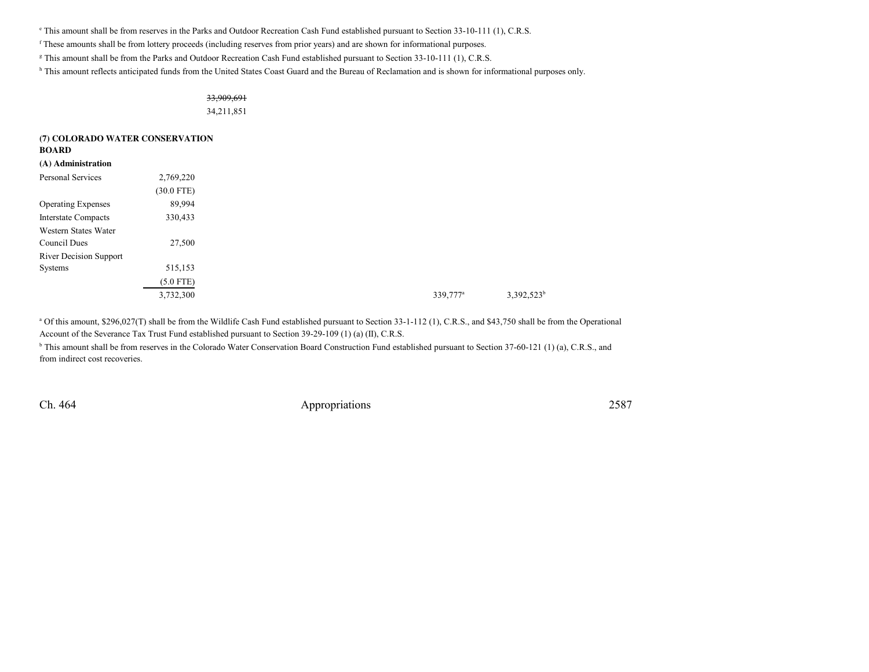e This amount shall be from reserves in the Parks and Outdoor Recreation Cash Fund established pursuant to Section 33-10-111 (1), C.R.S.

<sup>f</sup> These amounts shall be from lottery proceeds (including reserves from prior years) and are shown for informational purposes.

<sup>g</sup> This amount shall be from the Parks and Outdoor Recreation Cash Fund established pursuant to Section 33-10-111 (1), C.R.S.

h This amount reflects anticipated funds from the United States Coast Guard and the Bureau of Reclamation and is shown for informational purposes only.

33,909,69134,211,851

### **(7) COLORADO WATER CONSERVATIONBOARD**

| (A) Administration |  |
|--------------------|--|
|                    |  |

| Personal Services          | 2,769,220    |  |                      |                        |
|----------------------------|--------------|--|----------------------|------------------------|
|                            | $(30.0$ FTE) |  |                      |                        |
| <b>Operating Expenses</b>  | 89,994       |  |                      |                        |
| <b>Interstate Compacts</b> | 330,433      |  |                      |                        |
| Western States Water       |              |  |                      |                        |
| Council Dues               | 27,500       |  |                      |                        |
| River Decision Support     |              |  |                      |                        |
| Systems                    | 515,153      |  |                      |                        |
|                            | $(5.0$ FTE)  |  |                      |                        |
|                            | 3,732,300    |  | 339,777 <sup>a</sup> | $3,392,523^{\text{t}}$ |
|                            |              |  |                      |                        |

<sup>a</sup> Of this amount, \$296,027(T) shall be from the Wildlife Cash Fund established pursuant to Section 33-1-112 (1), C.R.S., and \$43,750 shall be from the Operational Account of the Severance Tax Trust Fund established pursuant to Section 39-29-109 (1) (a) (II), C.R.S.

<sup>b</sup> This amount shall be from reserves in the Colorado Water Conservation Board Construction Fund established pursuant to Section 37-60-121 (1) (a), C.R.S., and from indirect cost recoveries.

Ch. 464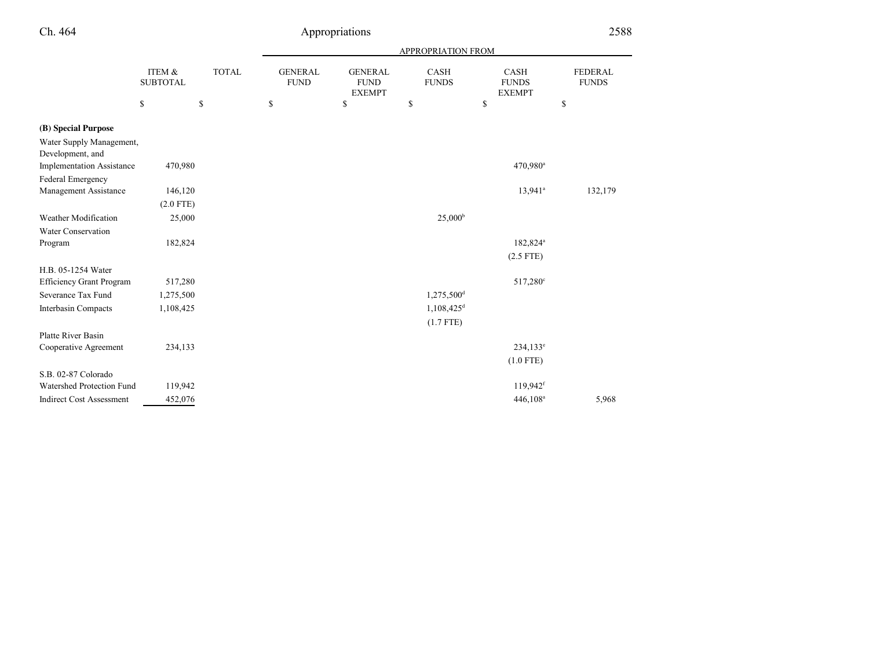|                                              |                                             |              |                               |                                                | <b>APPROPRIATION FROM</b>   |                                              |                                |
|----------------------------------------------|---------------------------------------------|--------------|-------------------------------|------------------------------------------------|-----------------------------|----------------------------------------------|--------------------------------|
|                                              | ITEM &<br><b>SUBTOTAL</b>                   | <b>TOTAL</b> | <b>GENERAL</b><br><b>FUND</b> | <b>GENERAL</b><br><b>FUND</b><br><b>EXEMPT</b> | <b>CASH</b><br><b>FUNDS</b> | <b>CASH</b><br><b>FUNDS</b><br><b>EXEMPT</b> | <b>FEDERAL</b><br><b>FUNDS</b> |
|                                              | $\mathbb{S}% _{n}^{X\rightarrow\mathbb{R}}$ | \$           | \$                            | \$                                             | \$                          | \$                                           | $\mathbb S$                    |
| (B) Special Purpose                          |                                             |              |                               |                                                |                             |                                              |                                |
| Water Supply Management,<br>Development, and |                                             |              |                               |                                                |                             |                                              |                                |
| Implementation Assistance                    | 470,980                                     |              |                               |                                                |                             | 470,980 <sup>a</sup>                         |                                |
| Federal Emergency                            |                                             |              |                               |                                                |                             |                                              |                                |
| Management Assistance                        | 146,120                                     |              |                               |                                                |                             | $13,941$ <sup>a</sup>                        | 132,179                        |
| Weather Modification                         | $(2.0$ FTE)<br>25,000                       |              |                               |                                                | $25,000^{\rm b}$            |                                              |                                |
| Water Conservation                           |                                             |              |                               |                                                |                             |                                              |                                |
| Program                                      | 182,824                                     |              |                               |                                                |                             | 182,824 <sup>a</sup>                         |                                |
|                                              |                                             |              |                               |                                                |                             | $(2.5$ FTE)                                  |                                |
| H.B. 05-1254 Water                           |                                             |              |                               |                                                |                             |                                              |                                |
| <b>Efficiency Grant Program</b>              | 517,280                                     |              |                               |                                                |                             | 517,280°                                     |                                |
| Severance Tax Fund                           | 1,275,500                                   |              |                               |                                                | 1,275,500 <sup>d</sup>      |                                              |                                |
| Interbasin Compacts                          | 1,108,425                                   |              |                               |                                                | $1,108,425$ <sup>d</sup>    |                                              |                                |
|                                              |                                             |              |                               |                                                | $(1.7$ FTE)                 |                                              |                                |
| <b>Platte River Basin</b>                    |                                             |              |                               |                                                |                             |                                              |                                |
| Cooperative Agreement                        | 234,133                                     |              |                               |                                                |                             | $234,133^e$                                  |                                |
|                                              |                                             |              |                               |                                                |                             | $(1.0$ FTE)                                  |                                |
| S.B. 02-87 Colorado                          |                                             |              |                               |                                                |                             |                                              |                                |
| Watershed Protection Fund                    | 119,942                                     |              |                               |                                                |                             | 119,942 <sup>f</sup>                         |                                |
| <b>Indirect Cost Assessment</b>              | 452,076                                     |              |                               |                                                |                             | 446,108 <sup>a</sup>                         | 5,968                          |

Ch. 464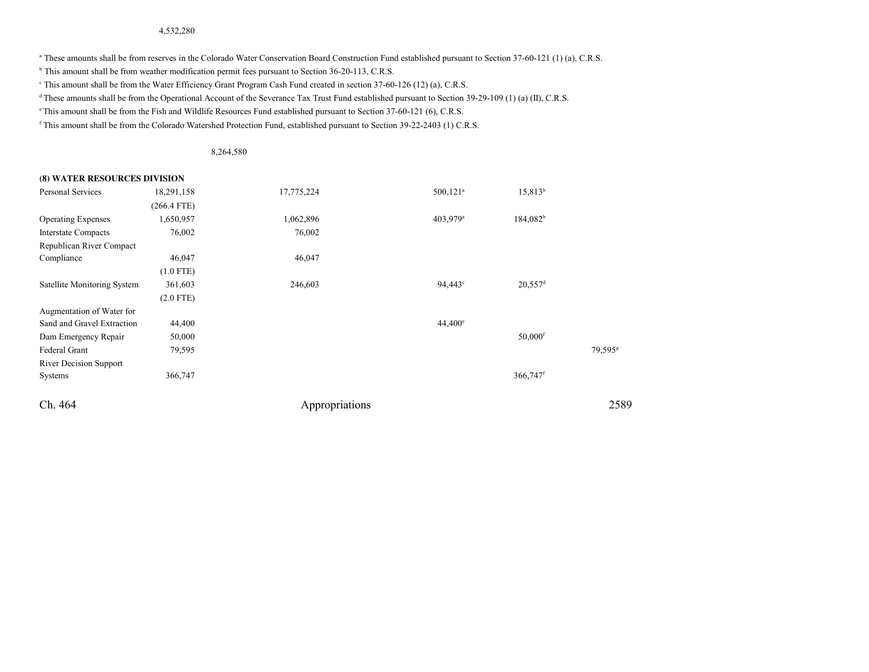### 4,532,280

<sup>a</sup> These amounts shall be from reserves in the Colorado Water Conservation Board Construction Fund established pursuant to Section 37-60-121 (1) (a), C.R.S.

<sup>b</sup> This amount shall be from weather modification permit fees pursuant to Section 36-20-113, C.R.S.

c This amount shall be from the Water Efficiency Grant Program Cash Fund created in section 37-60-126 (12) (a), C.R.S.

<sup>d</sup>These amounts shall be from the Operational Account of the Severance Tax Trust Fund established pursuant to Section 39-29-109 (1) (a) (II), C.R.S.

e This amount shall be from the Fish and Wildlife Resources Fund established pursuant to Section 37-60-121 (6), C.R.S.

<sup>f</sup> This amount shall be from the Colorado Watershed Protection Fund, established pursuant to Section 39-22-2403 (1) C.R.S.

8,264,580

#### **(8) WATER RESOURCES DIVISION**

| Personal Services             | 18,291,158    | 17,775,224     | $500, 121$ <sup>a</sup> | $15,813^b$            |         |
|-------------------------------|---------------|----------------|-------------------------|-----------------------|---------|
|                               | $(266.4$ FTE) |                |                         |                       |         |
| <b>Operating Expenses</b>     | 1,650,957     | 1,062,896      | 403,979 <sup>a</sup>    | $184,082^b$           |         |
| <b>Interstate Compacts</b>    | 76,002        | 76,002         |                         |                       |         |
| Republican River Compact      |               |                |                         |                       |         |
| Compliance                    | 46,047        | 46,047         |                         |                       |         |
|                               | $(1.0$ FTE)   |                |                         |                       |         |
| Satellite Monitoring System   | 361,603       | 246,603        | 94,443 <sup>c</sup>     | $20,557$ <sup>d</sup> |         |
|                               | $(2.0$ FTE)   |                |                         |                       |         |
| Augmentation of Water for     |               |                |                         |                       |         |
| Sand and Gravel Extraction    | 44,400        |                | $44,400^e$              |                       |         |
| Dam Emergency Repair          | 50,000        |                |                         | $50,000$ <sup>f</sup> |         |
| Federal Grant                 | 79,595        |                |                         |                       | 79,5958 |
| <b>River Decision Support</b> |               |                |                         |                       |         |
| Systems                       | 366,747       |                |                         | 366,747 <sup>f</sup>  |         |
| Ch. 464                       |               | Appropriations |                         |                       | 2589    |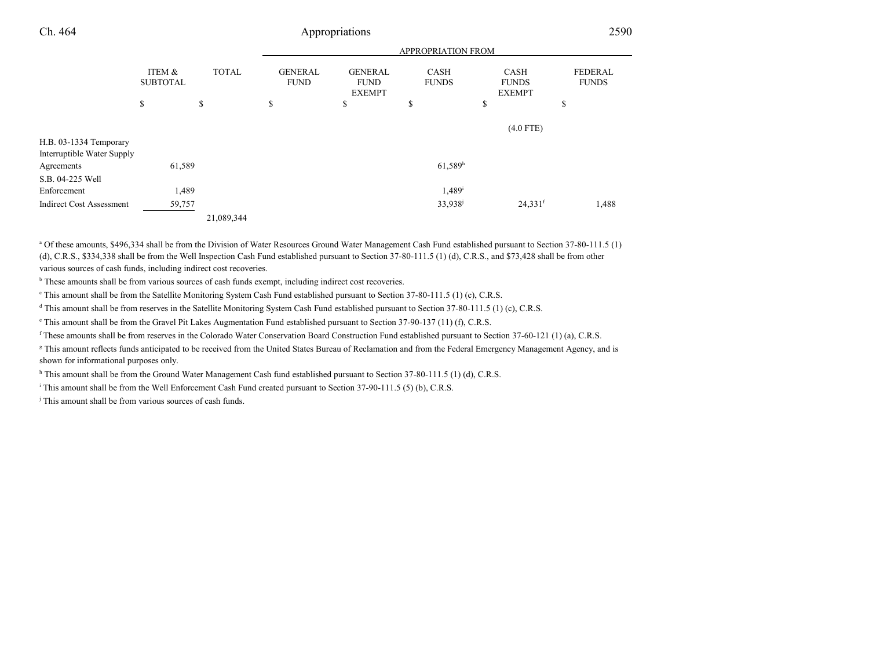|                                                      |                           |              |                               |                                                | <b>APPROPRIATION FROM</b>   |                                              |                                |
|------------------------------------------------------|---------------------------|--------------|-------------------------------|------------------------------------------------|-----------------------------|----------------------------------------------|--------------------------------|
|                                                      | ITEM &<br><b>SUBTOTAL</b> | <b>TOTAL</b> | <b>GENERAL</b><br><b>FUND</b> | <b>GENERAL</b><br><b>FUND</b><br><b>EXEMPT</b> | <b>CASH</b><br><b>FUNDS</b> | <b>CASH</b><br><b>FUNDS</b><br><b>EXEMPT</b> | <b>FEDERAL</b><br><b>FUNDS</b> |
|                                                      | \$                        | \$           | \$                            | \$                                             | \$                          | \$                                           | \$                             |
|                                                      |                           |              |                               |                                                |                             | $(4.0$ FTE)                                  |                                |
| H.B. 03-1334 Temporary<br>Interruptible Water Supply |                           |              |                               |                                                |                             |                                              |                                |
| Agreements                                           | 61,589                    |              |                               |                                                | $61,589$ <sup>h</sup>       |                                              |                                |
| S.B. 04-225 Well                                     |                           |              |                               |                                                |                             |                                              |                                |
| Enforcement                                          | 1,489                     |              |                               |                                                | $1,489$ <sup>i</sup>        |                                              |                                |
| <b>Indirect Cost Assessment</b>                      | 59,757                    |              |                               |                                                | 33,938 <sup>j</sup>         | $24,331$ <sup>f</sup>                        | 1,488                          |
|                                                      |                           | 21,089,344   |                               |                                                |                             |                                              |                                |

<sup>a</sup> Of these amounts, \$496,334 shall be from the Division of Water Resources Ground Water Management Cash Fund established pursuant to Section 37-80-111.5 (1) (d), C.R.S., \$334,338 shall be from the Well Inspection Cash Fund established pursuant to Section 37-80-111.5 (1) (d), C.R.S., and \$73,428 shall be from othervarious sources of cash funds, including indirect cost recoveries.

<sup>b</sup> These amounts shall be from various sources of cash funds exempt, including indirect cost recoveries.

c This amount shall be from the Satellite Monitoring System Cash Fund established pursuant to Section 37-80-111.5 (1) (c), C.R.S.

<sup>d</sup> This amount shall be from reserves in the Satellite Monitoring System Cash Fund established pursuant to Section 37-80-111.5 (1) (c), C.R.S.

e This amount shall be from the Gravel Pit Lakes Augmentation Fund established pursuant to Section 37-90-137 (11) (f), C.R.S.

<sup>f</sup> These amounts shall be from reserves in the Colorado Water Conservation Board Construction Fund established pursuant to Section 37-60-121 (1) (a), C.R.S.

<sup>g</sup> This amount reflects funds anticipated to be received from the United States Bureau of Reclamation and from the Federal Emergency Management Agency, and is shown for informational purposes only.

h This amount shall be from the Ground Water Management Cash fund established pursuant to Section 37-80-111.5 (1) (d), C.R.S.

<sup>i</sup> This amount shall be from the Well Enforcement Cash Fund created pursuant to Section 37-90-111.5 (5) (b), C.R.S.

<sup>j</sup> This amount shall be from various sources of cash funds.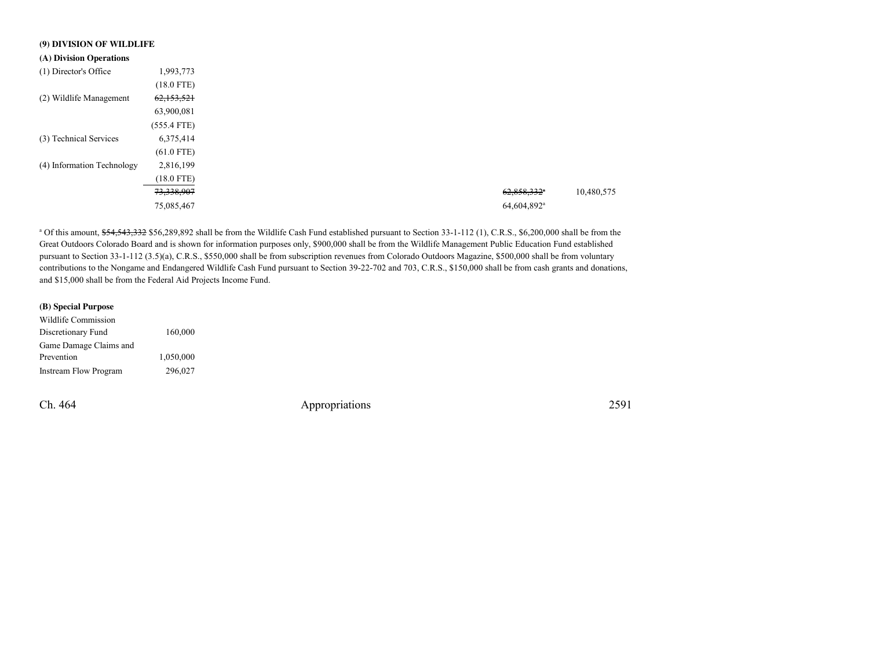| (9) DIVISION OF WILDLIFE   |               |
|----------------------------|---------------|
| (A) Division Operations    |               |
| (1) Director's Office      | 1,993,773     |
|                            | $(18.0$ FTE)  |
| (2) Wildlife Management    | 62,153,521    |
|                            | 63,900,081    |
|                            | $(555.4$ FTE) |
| (3) Technical Services     | 6,375,414     |
|                            | $(61.0$ FTE)  |
| (4) Information Technology | 2,816,199     |
|                            | $(18.0$ FTE)  |
|                            | 73,338,907    |
|                            | 75,085,467    |

<sup>a</sup> Of this amount, \$54,543,332 \$56,289,892 shall be from the Wildlife Cash Fund established pursuant to Section 33-1-112 (1), C.R.S., \$6,200,000 shall be from the Great Outdoors Colorado Board and is shown for information purposes only, \$900,000 shall be from the Wildlife Management Public Education Fund established pursuant to Section 33-1-112 (3.5)(a), C.R.S., \$550,000 shall be from subscription revenues from Colorado Outdoors Magazine, \$500,000 shall be from voluntary contributions to the Nongame and Endangered Wildlife Cash Fund pursuant to Section 39-22-702 and 703, C.R.S., \$150,000 shall be from cash grants and donations,and \$15,000 shall be from the Federal Aid Projects Income Fund.

#### **(B) Special Purpose**

| Wildlife Commission          |           |
|------------------------------|-----------|
| Discretionary Fund           | 160,000   |
| Game Damage Claims and       |           |
| Prevention                   | 1,050,000 |
| <b>Instream Flow Program</b> | 296,027   |

Ch. 464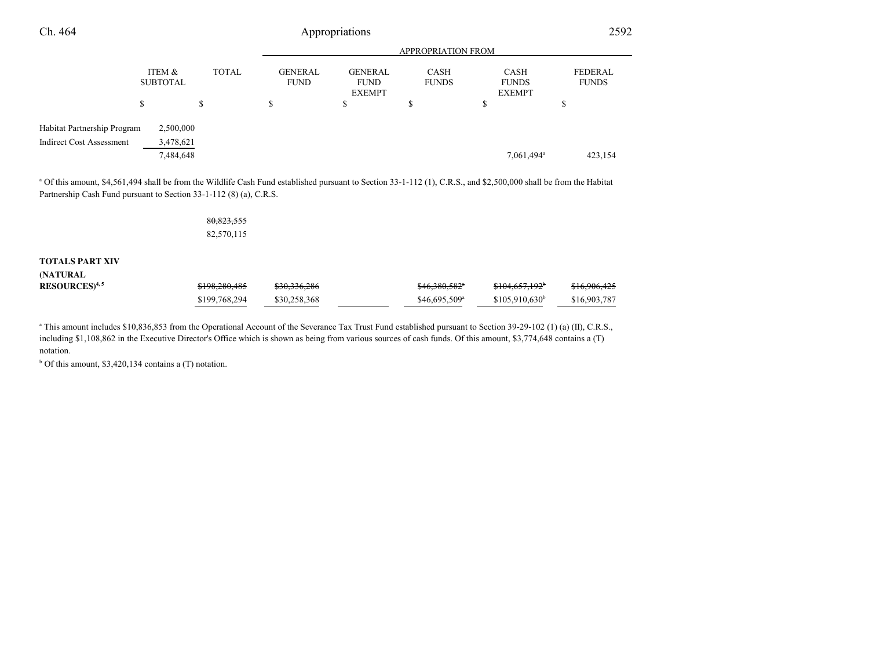| Ch. 464                         | Appropriations                       |              |                               |                                                |                             |                                              | 2592                           |  |
|---------------------------------|--------------------------------------|--------------|-------------------------------|------------------------------------------------|-----------------------------|----------------------------------------------|--------------------------------|--|
|                                 |                                      |              |                               |                                                |                             |                                              |                                |  |
|                                 | <b>ITEM &amp;</b><br><b>SUBTOTAL</b> | <b>TOTAL</b> | <b>GENERAL</b><br><b>FUND</b> | <b>GENERAL</b><br><b>FUND</b><br><b>EXEMPT</b> | <b>CASH</b><br><b>FUNDS</b> | <b>CASH</b><br><b>FUNDS</b><br><b>EXEMPT</b> | <b>FEDERAL</b><br><b>FUNDS</b> |  |
|                                 | S                                    | \$           | \$                            | S                                              | D.                          | \$                                           | \$                             |  |
| Habitat Partnership Program     | 2,500,000                            |              |                               |                                                |                             |                                              |                                |  |
| <b>Indirect Cost Assessment</b> | 3,478,621                            |              |                               |                                                |                             |                                              |                                |  |
|                                 | 7,484,648                            |              |                               |                                                |                             | 7,061,494 <sup>a</sup>                       | 423,154                        |  |
|                                 |                                      |              |                               |                                                |                             |                                              |                                |  |

<sup>a</sup> Of this amount, \$4,561,494 shall be from the Wildlife Cash Fund established pursuant to Section 33-1-112 (1), C.R.S., and \$2,500,000 shall be from the Habitat Partnership Cash Fund pursuant to Section 33-1-112 (8) (a), C.R.S.

> 80,823,55582,570,115

# **TOTALS PART XIV**

**(NATURAL**

| RESOURCES) <sup>4, 5</sup> | \$198,280,485 | \$30,336,286 | \$46,380,582"   | \$104,657,192 <sup>b</sup> | \$16,906,425 |
|----------------------------|---------------|--------------|-----------------|----------------------------|--------------|
|                            | \$199,768,294 | \$30,258,368 | $$46,695,509^a$ | $$105,910,630^b$           | \$16,903,787 |

<sup>a</sup> This amount includes \$10,836,853 from the Operational Account of the Severance Tax Trust Fund established pursuant to Section 39-29-102 (1) (a) (II), C.R.S., including \$1,108,862 in the Executive Director's Office which is shown as being from various sources of cash funds. Of this amount, \$3,774,648 contains a (T)notation.

 $b$  Of this amount, \$3,420,134 contains a (T) notation.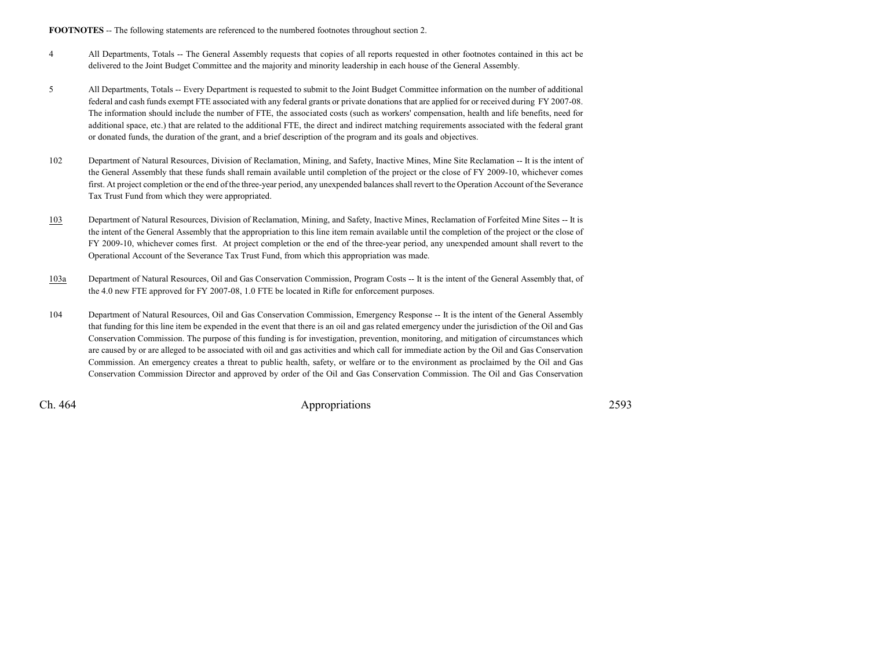**FOOTNOTES** -- The following statements are referenced to the numbered footnotes throughout section 2.

- <sup>4</sup> All Departments, Totals -- The General Assembly requests that copies of all reports requested in other footnotes contained in this act be delivered to the Joint Budget Committee and the majority and minority leadership in each house of the General Assembly.
- <sup>5</sup> All Departments, Totals -- Every Department is requested to submit to the Joint Budget Committee information on the number of additional federal and cash funds exempt FTE associated with any federal grants or private donations that are applied for or received during FY 2007-08.The information should include the number of FTE, the associated costs (such as workers' compensation, health and life benefits, need foradditional space, etc.) that are related to the additional FTE, the direct and indirect matching requirements associated with the federal grantor donated funds, the duration of the grant, and a brief description of the program and its goals and objectives.
- <sup>102</sup> Department of Natural Resources, Division of Reclamation, Mining, and Safety, Inactive Mines, Mine Site Reclamation -- It is the intent of the General Assembly that these funds shall remain available until completion of the project or the close of FY 2009-10, whichever comes first. At project completion or the end of the three-year period, any unexpended balances shall revert to the Operation Account of the SeveranceTax Trust Fund from which they were appropriated.
- 103 Department of Natural Resources, Division of Reclamation, Mining, and Safety, Inactive Mines, Reclamation of Forfeited Mine Sites -- It is the intent of the General Assembly that the appropriation to this line item remain available until the completion of the project or the close ofFY 2009-10, whichever comes first. At project completion or the end of the three-year period, any unexpended amount shall revert to theOperational Account of the Severance Tax Trust Fund, from which this appropriation was made.
- 103a Department of Natural Resources, Oil and Gas Conservation Commission, Program Costs -- It is the intent of the General Assembly that, of the 4.0 new FTE approved for FY 2007-08, 1.0 FTE be located in Rifle for enforcement purposes.
- <sup>104</sup> Department of Natural Resources, Oil and Gas Conservation Commission, Emergency Response -- It is the intent of the General Assembly that funding for this line item be expended in the event that there is an oil and gas related emergency under the jurisdiction of the Oil and Gas Conservation Commission. The purpose of this funding is for investigation, prevention, monitoring, and mitigation of circumstances which are caused by or are alleged to be associated with oil and gas activities and which call for immediate action by the Oil and Gas Conservation Commission. An emergency creates a threat to public health, safety, or welfare or to the environment as proclaimed by the Oil and GasConservation Commission Director and approved by order of the Oil and Gas Conservation Commission. The Oil and Gas Conservation

Ch. 464